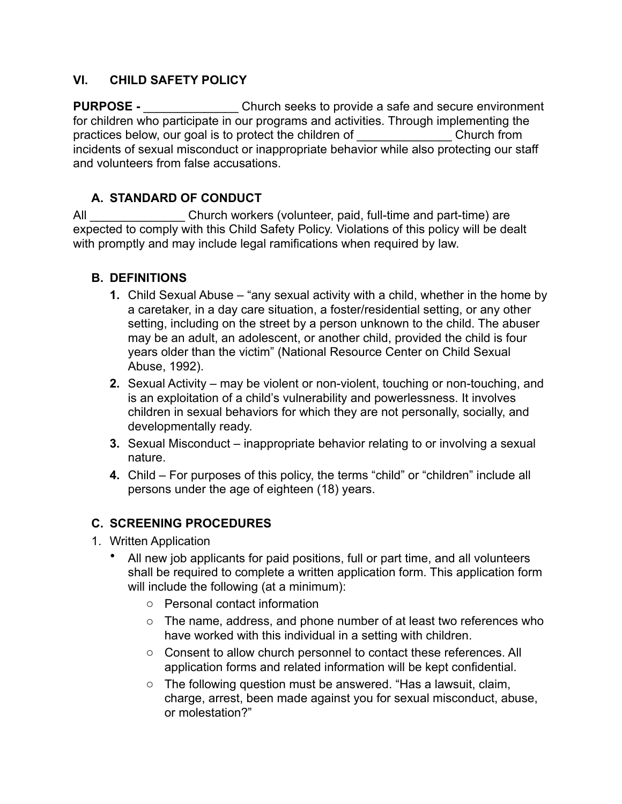#### **VI. CHILD SAFETY POLICY**

**PURPOSE -** \_\_\_\_\_\_\_\_\_\_\_\_\_\_\_\_\_\_\_ Church seeks to provide a safe and secure environment for children who participate in our programs and activities. Through implementing the practices below, our goal is to protect the children of Theorem Church from incidents of sexual misconduct or inappropriate behavior while also protecting our staff and volunteers from false accusations.

### **A. STANDARD OF CONDUCT**

All **EXECUTE:** Church workers (volunteer, paid, full-time and part-time) are expected to comply with this Child Safety Policy. Violations of this policy will be dealt with promptly and may include legal ramifications when required by law.

### **B. DEFINITIONS**

- **1.** Child Sexual Abuse "any sexual activity with a child, whether in the home by a caretaker, in a day care situation, a foster/residential setting, or any other setting, including on the street by a person unknown to the child. The abuser may be an adult, an adolescent, or another child, provided the child is four years older than the victim" (National Resource Center on Child Sexual Abuse, 1992).
- **2.** Sexual Activity may be violent or non-violent, touching or non-touching, and is an exploitation of a child's vulnerability and powerlessness. It involves children in sexual behaviors for which they are not personally, socially, and developmentally ready.
- **3.** Sexual Misconduct inappropriate behavior relating to or involving a sexual nature.
- **4.** Child For purposes of this policy, the terms "child" or "children" include all persons under the age of eighteen (18) years.

### **C. SCREENING PROCEDURES**

- 1. Written Application
	- All new job applicants for paid positions, full or part time, and all volunteers shall be required to complete a written application form. This application form will include the following (at a minimum):
		- o Personal contact information
		- o The name, address, and phone number of at least two references who have worked with this individual in a setting with children.
		- o Consent to allow church personnel to contact these references. All application forms and related information will be kept confidential.
		- o The following question must be answered. "Has a lawsuit, claim, charge, arrest, been made against you for sexual misconduct, abuse, or molestation?"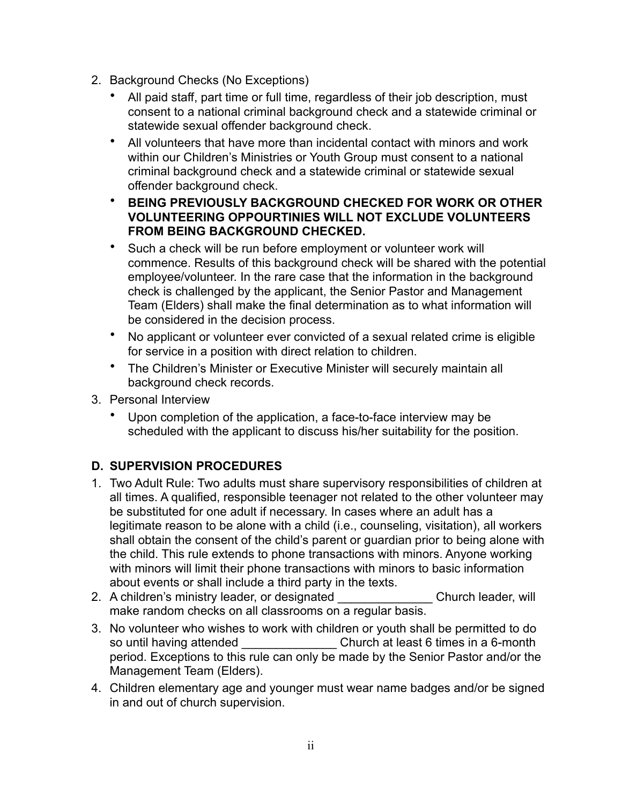- 2. Background Checks (No Exceptions)
	- All paid staff, part time or full time, regardless of their job description, must consent to a national criminal background check and a statewide criminal or statewide sexual offender background check.
	- All volunteers that have more than incidental contact with minors and work within our Children's Ministries or Youth Group must consent to a national criminal background check and a statewide criminal or statewide sexual offender background check.
	- **BEING PREVIOUSLY BACKGROUND CHECKED FOR WORK OR OTHER VOLUNTEERING OPPOURTINIES WILL NOT EXCLUDE VOLUNTEERS FROM BEING BACKGROUND CHECKED.**
	- Such a check will be run before employment or volunteer work will commence. Results of this background check will be shared with the potential employee/volunteer. In the rare case that the information in the background check is challenged by the applicant, the Senior Pastor and Management Team (Elders) shall make the final determination as to what information will be considered in the decision process.
	- No applicant or volunteer ever convicted of a sexual related crime is eligible for service in a position with direct relation to children.
	- The Children's Minister or Executive Minister will securely maintain all background check records.
- 3. Personal Interview
	- Upon completion of the application, a face-to-face interview may be scheduled with the applicant to discuss his/her suitability for the position.

# **D. SUPERVISION PROCEDURES**

- 1. Two Adult Rule: Two adults must share supervisory responsibilities of children at all times. A qualified, responsible teenager not related to the other volunteer may be substituted for one adult if necessary. In cases where an adult has a legitimate reason to be alone with a child (i.e., counseling, visitation), all workers shall obtain the consent of the child's parent or guardian prior to being alone with the child. This rule extends to phone transactions with minors. Anyone working with minors will limit their phone transactions with minors to basic information about events or shall include a third party in the texts.
- 2. A children's ministry leader, or designated \_\_\_\_\_\_\_\_\_\_\_\_\_\_\_\_ Church leader, will make random checks on all classrooms on a regular basis.
- 3. No volunteer who wishes to work with children or youth shall be permitted to do so until having attended \_\_\_\_\_\_\_\_\_\_\_\_\_\_\_\_\_\_\_ Church at least 6 times in a 6-month period. Exceptions to this rule can only be made by the Senior Pastor and/or the Management Team (Elders).
- 4. Children elementary age and younger must wear name badges and/or be signed in and out of church supervision.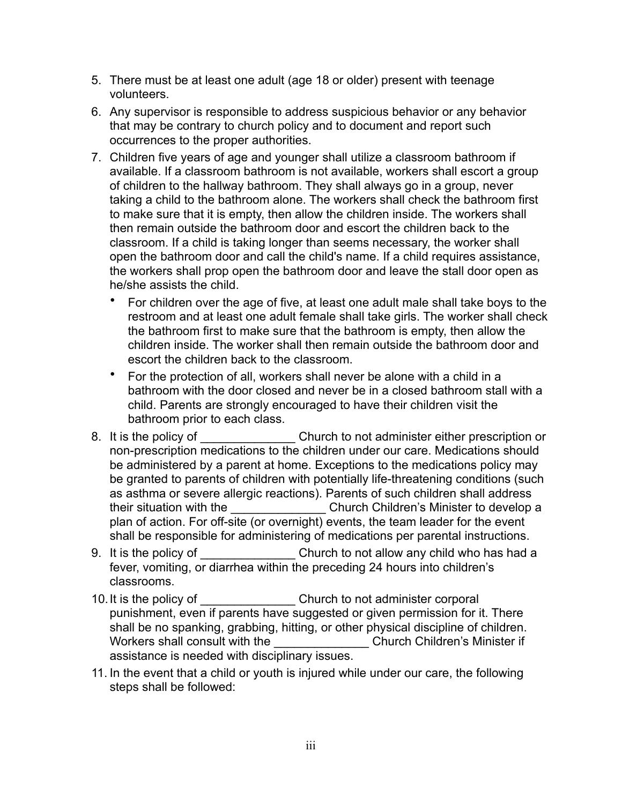- 5. There must be at least one adult (age 18 or older) present with teenage volunteers.
- 6. Any supervisor is responsible to address suspicious behavior or any behavior that may be contrary to church policy and to document and report such occurrences to the proper authorities.
- 7. Children five years of age and younger shall utilize a classroom bathroom if available. If a classroom bathroom is not available, workers shall escort a group of children to the hallway bathroom. They shall always go in a group, never taking a child to the bathroom alone. The workers shall check the bathroom first to make sure that it is empty, then allow the children inside. The workers shall then remain outside the bathroom door and escort the children back to the classroom. If a child is taking longer than seems necessary, the worker shall open the bathroom door and call the child's name. If a child requires assistance, the workers shall prop open the bathroom door and leave the stall door open as he/she assists the child.
	- For children over the age of five, at least one adult male shall take boys to the restroom and at least one adult female shall take girls. The worker shall check the bathroom first to make sure that the bathroom is empty, then allow the children inside. The worker shall then remain outside the bathroom door and escort the children back to the classroom.
	- For the protection of all, workers shall never be alone with a child in a bathroom with the door closed and never be in a closed bathroom stall with a child. Parents are strongly encouraged to have their children visit the bathroom prior to each class.
- 8. It is the policy of Church to not administer either prescription or non-prescription medications to the children under our care. Medications should be administered by a parent at home. Exceptions to the medications policy may be granted to parents of children with potentially life-threatening conditions (such as asthma or severe allergic reactions). Parents of such children shall address their situation with the \_\_\_\_\_\_\_\_\_\_\_\_\_\_\_\_\_\_\_Church Children's Minister to develop a plan of action. For off-site (or overnight) events, the team leader for the event shall be responsible for administering of medications per parental instructions.
- 9. It is the policy of **Example 20. It is the policy of**  $\blacksquare$ fever, vomiting, or diarrhea within the preceding 24 hours into children's classrooms.
- 10. It is the policy of **Example 20.** Church to not administer corporal punishment, even if parents have suggested or given permission for it. There shall be no spanking, grabbing, hitting, or other physical discipline of children. Workers shall consult with the **Example 20 Church Children's Minister if** assistance is needed with disciplinary issues.
- 11. In the event that a child or youth is injured while under our care, the following steps shall be followed: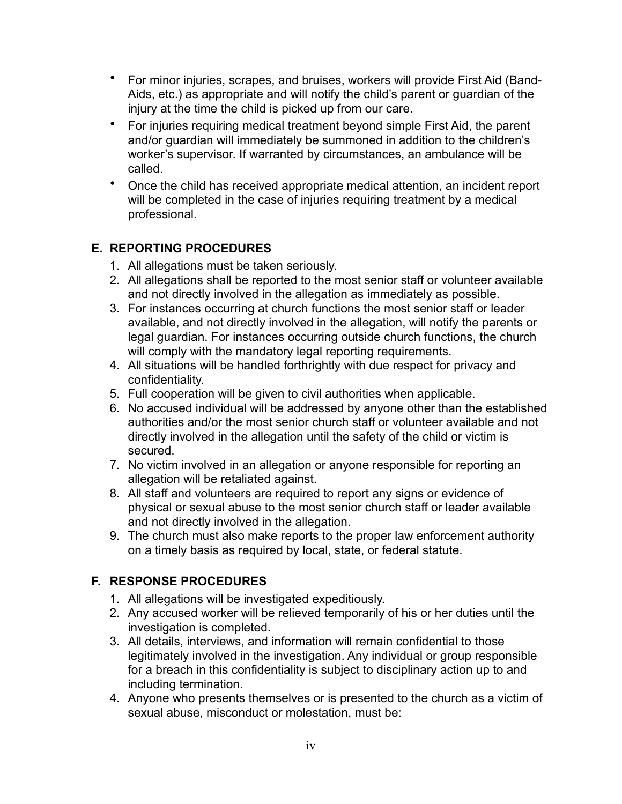- For minor injuries, scrapes, and bruises, workers will provide First Aid (Band-Aids, etc.) as appropriate and will notify the child's parent or guardian of the injury at the time the child is picked up from our care.
- For injuries requiring medical treatment beyond simple First Aid, the parent and/or guardian will immediately be summoned in addition to the children's worker's supervisor. If warranted by circumstances, an ambulance will be called.
- Once the child has received appropriate medical attention, an incident report will be completed in the case of injuries requiring treatment by a medical professional.

### **E. REPORTING PROCEDURES**

- 1. All allegations must be taken seriously.
- 2. All allegations shall be reported to the most senior staff or volunteer available and not directly involved in the allegation as immediately as possible.
- 3. For instances occurring at church functions the most senior staff or leader available, and not directly involved in the allegation, will notify the parents or legal guardian. For instances occurring outside church functions, the church will comply with the mandatory legal reporting requirements.
- 4. All situations will be handled forthrightly with due respect for privacy and confidentiality.
- 5. Full cooperation will be given to civil authorities when applicable.
- 6. No accused individual will be addressed by anyone other than the established authorities and/or the most senior church staff or volunteer available and not directly involved in the allegation until the safety of the child or victim is secured.
- 7. No victim involved in an allegation or anyone responsible for reporting an allegation will be retaliated against.
- 8. All staff and volunteers are required to report any signs or evidence of physical or sexual abuse to the most senior church staff or leader available and not directly involved in the allegation.
- 9. The church must also make reports to the proper law enforcement authority on a timely basis as required by local, state, or federal statute.

# **F. RESPONSE PROCEDURES**

- 1. All allegations will be investigated expeditiously.
- 2. Any accused worker will be relieved temporarily of his or her duties until the investigation is completed.
- 3. All details, interviews, and information will remain confidential to those legitimately involved in the investigation. Any individual or group responsible for a breach in this confidentiality is subject to disciplinary action up to and including termination.
- 4. Anyone who presents themselves or is presented to the church as a victim of sexual abuse, misconduct or molestation, must be: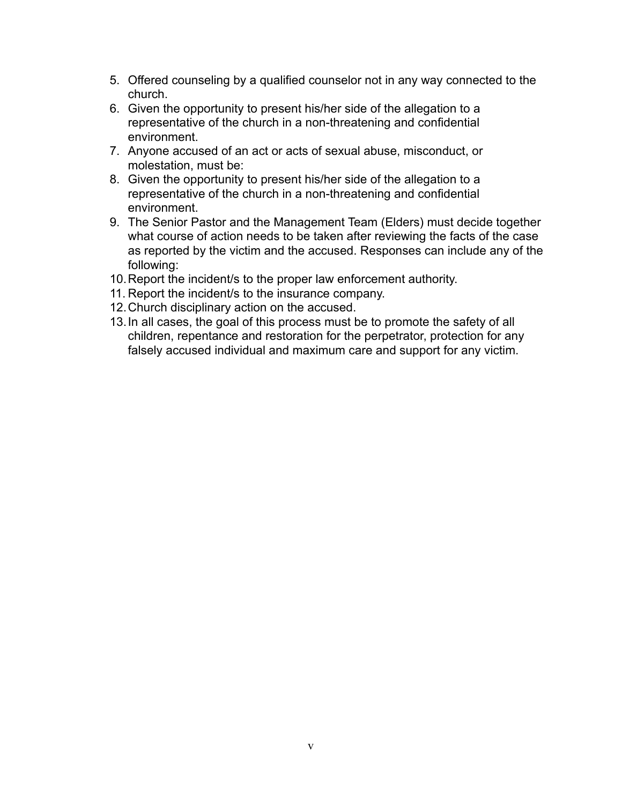- 5. Offered counseling by a qualified counselor not in any way connected to the church.
- 6. Given the opportunity to present his/her side of the allegation to a representative of the church in a non-threatening and confidential environment.
- 7. Anyone accused of an act or acts of sexual abuse, misconduct, or molestation, must be:
- 8. Given the opportunity to present his/her side of the allegation to a representative of the church in a non-threatening and confidential environment.
- 9. The Senior Pastor and the Management Team (Elders) must decide together what course of action needs to be taken after reviewing the facts of the case as reported by the victim and the accused. Responses can include any of the following:
- 10.Report the incident/s to the proper law enforcement authority.
- 11. Report the incident/s to the insurance company.
- 12.Church disciplinary action on the accused.
- 13.In all cases, the goal of this process must be to promote the safety of all children, repentance and restoration for the perpetrator, protection for any falsely accused individual and maximum care and support for any victim.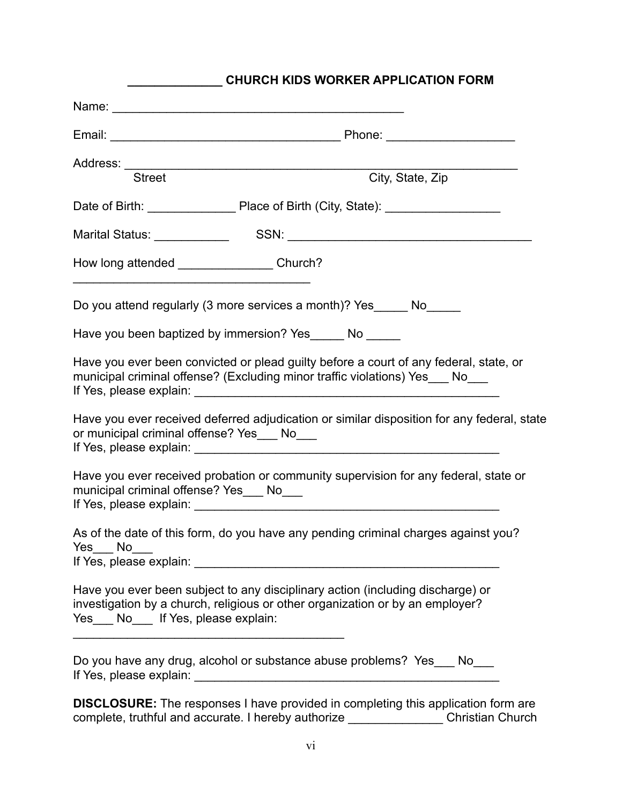| <b>CHURCH KIDS WORKER APPLICATION FORM</b>     |                                                                                                                                                                        |  |
|------------------------------------------------|------------------------------------------------------------------------------------------------------------------------------------------------------------------------|--|
|                                                |                                                                                                                                                                        |  |
| <b>Street</b>                                  | City, State, Zip                                                                                                                                                       |  |
|                                                |                                                                                                                                                                        |  |
|                                                |                                                                                                                                                                        |  |
| How long attended _____________________Church? |                                                                                                                                                                        |  |
|                                                | Do you attend regularly (3 more services a month)? Yes ______ No______                                                                                                 |  |
| Have you been baptized by immersion? Yes No    |                                                                                                                                                                        |  |
|                                                | Have you ever been convicted or plead guilty before a court of any federal, state, or<br>municipal criminal offense? (Excluding minor traffic violations) Yes___ No___ |  |
| or municipal criminal offense? Yes___ No___    | Have you ever received deferred adjudication or similar disposition for any federal, state                                                                             |  |
| municipal criminal offense? Yes___ No___       | Have you ever received probation or community supervision for any federal, state or                                                                                    |  |
| Yes No                                         | As of the date of this form, do you have any pending criminal charges against you?                                                                                     |  |
| Yes ___ No___ If Yes, please explain:          | Have you ever been subject to any disciplinary action (including discharge) or<br>investigation by a church, religious or other organization or by an employer?        |  |
|                                                | Do you have any drug, alcohol or substance abuse problems? Yes___ No___                                                                                                |  |
|                                                | <b>DISCLOSURE:</b> The responses I have provided in completing this application form are                                                                               |  |

**\_\_\_\_\_\_\_\_\_\_\_\_\_\_ CHURCH KIDS WORKER APPLICATION FORM**

**DISCLOSURE:** The responses I have provided in completing this application form are complete, truthful and accurate. I hereby authorize \_\_\_\_\_\_\_\_\_\_\_\_\_\_ Christian Church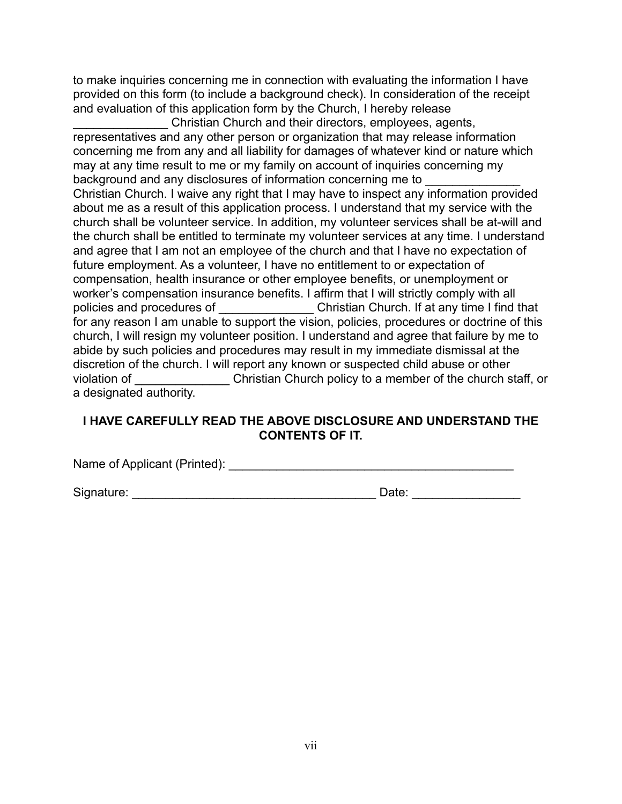to make inquiries concerning me in connection with evaluating the information I have provided on this form (to include a background check). In consideration of the receipt and evaluation of this application form by the Church, I hereby release

\_\_\_\_\_\_\_\_\_\_\_\_\_\_ Christian Church and their directors, employees, agents, representatives and any other person or organization that may release information concerning me from any and all liability for damages of whatever kind or nature which may at any time result to me or my family on account of inquiries concerning my background and any disclosures of information concerning me to Christian Church. I waive any right that I may have to inspect any information provided about me as a result of this application process. I understand that my service with the church shall be volunteer service. In addition, my volunteer services shall be at-will and the church shall be entitled to terminate my volunteer services at any time. I understand and agree that I am not an employee of the church and that I have no expectation of future employment. As a volunteer, I have no entitlement to or expectation of compensation, health insurance or other employee benefits, or unemployment or worker's compensation insurance benefits. I affirm that I will strictly comply with all policies and procedures of **Exercise 2** Christian Church. If at any time I find that for any reason I am unable to support the vision, policies, procedures or doctrine of this church, I will resign my volunteer position. I understand and agree that failure by me to abide by such policies and procedures may result in my immediate dismissal at the discretion of the church. I will report any known or suspected child abuse or other violation of **Example 20 Christian Church policy to a member of the church staff, or** a designated authority.

#### **I HAVE CAREFULLY READ THE ABOVE DISCLOSURE AND UNDERSTAND THE CONTENTS OF IT.**

Name of Applicant (Printed): \_\_\_\_\_\_\_\_\_\_\_\_\_\_\_\_\_\_\_\_\_\_\_\_\_\_\_\_\_\_\_\_\_\_\_\_\_\_\_\_\_\_

Signature: \_\_\_\_\_\_\_\_\_\_\_\_\_\_\_\_\_\_\_\_\_\_\_\_\_\_\_\_\_\_\_\_\_\_\_\_ Date: \_\_\_\_\_\_\_\_\_\_\_\_\_\_\_\_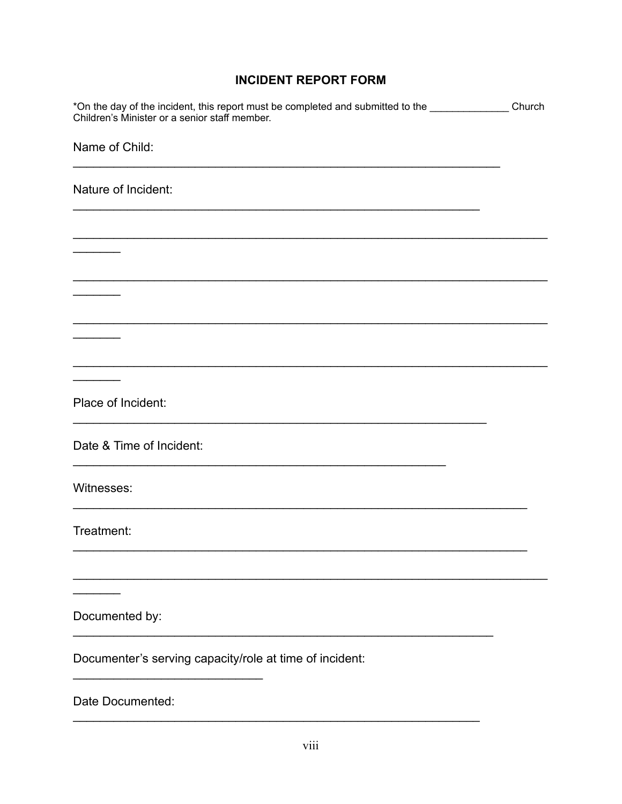### **INCIDENT REPORT FORM**

| *On the day of the incident, this report must be completed and submitted to the __________________Church<br>Children's Minister or a senior staff member. |  |
|-----------------------------------------------------------------------------------------------------------------------------------------------------------|--|
| Name of Child:                                                                                                                                            |  |
| Nature of Incident:                                                                                                                                       |  |
|                                                                                                                                                           |  |
|                                                                                                                                                           |  |
|                                                                                                                                                           |  |
|                                                                                                                                                           |  |
|                                                                                                                                                           |  |
| Place of Incident:                                                                                                                                        |  |
| Date & Time of Incident:                                                                                                                                  |  |
| Witnesses:                                                                                                                                                |  |
| Treatment:                                                                                                                                                |  |
|                                                                                                                                                           |  |
| Documented by:                                                                                                                                            |  |
| Documenter's serving capacity/role at time of incident:                                                                                                   |  |
| Date Documented:                                                                                                                                          |  |